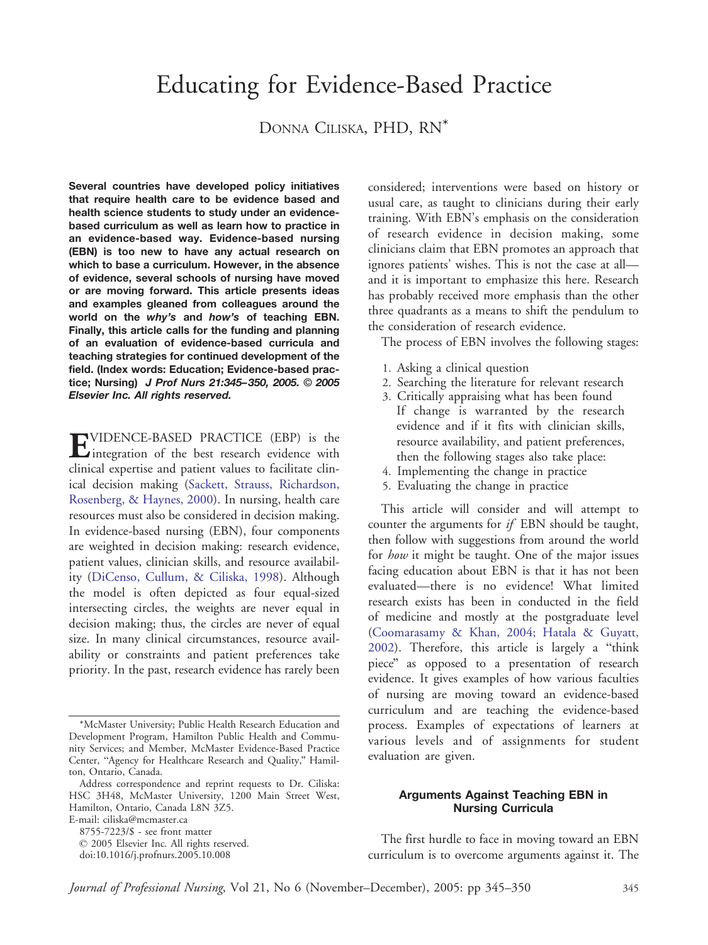# Educating for Evidence-Based Practice

# DONNA CILISKA, PHD, RN\*

Several countries have developed policy initiatives that require health care to be evidence based and health science students to study under an evidencebased curriculum as well as learn how to practice in an evidence-based way. Evidence-based nursing (EBN) is too new to have any actual research on which to base a curriculum. However, in the absence of evidence, several schools of nursing have moved or are moving forward. This article presents ideas and examples gleaned from colleagues around the world on the why's and how's of teaching EBN. Finally, this article calls for the funding and planning of an evaluation of evidence-based curricula and teaching strategies for continued development of the field. (Index words: Education; Evidence-based practice; Nursing) J Prof Nurs 21:345-350, 2005. 2005 Elsevier Inc. All rights reserved.

**EVIDENCE-BASED PRACTICE (EBP)** is the integration of the best research evidence with clinical expertise and patient values to facilitate clinical decision makin[g](#page-5-0) [\(Sackett,](#page-5-0) [Strauss,](#page-5-0) [Richardson,](#page-5-0) Rosenberg, & Haynes, 2000). In nursing, health care resources must also be considered in decision making. In evidence-based nursing (EBN), four components are weighted in decision making: research evidence, patient values, clinician skills, and resource availabilit[y](#page-5-0) [\(DiCenso,](#page-5-0) [Cullum,](#page-5-0) [&](#page-5-0) [Ciliska,](#page-5-0) [199](#page-5-0)8). Although the model is often depicted as four equal-sized intersecting circles, the weights are never equal in decision making; thus, the circles are never of equal size. In many clinical circumstances, resource availability or constraints and patient preferences take priority. In the past, research evidence has rarely been considered; interventions were based on history or usual care, as taught to clinicians during their early training. With EBN's emphasis on the consideration of research evidence in decision making, some clinicians claim that EBN promotes an approach that ignores patients' wishes. This is not the case at all and it is important to emphasize this here. Research has probably received more emphasis than the other three quadrants as a means to shift the pendulum to the consideration of research evidence.

The process of EBN involves the following stages:

- 1. Asking a clinical question
- 2. Searching the literature for relevant research
- 3. Critically appraising what has been found If change is warranted by the research evidence and if it fits with clinician skills, resource availability, and patient preferences, then the following stages also take place:
- 4. Implementing the change in practice
- 5. Evaluating the change in practice

This article will consider and will attempt to counter the arguments for if EBN should be taught, then follow with suggestions from around the world for how it might be taught. One of the major issues facing education about EBN is that it has not been evaluated—there is no evidence! What limited research exists has been in conducted in the field of medicine and mostly at the postgraduate level ([Coomarasamy](#page-5-0) [&](#page-5-0) [Khan,](#page-5-0) [2004;](#page-5-0) [Hatala](#page-5-0) [&](#page-5-0) [Guyatt,](#page-5-0)  $2002$ ). Therefore, this article is largely a "think piece" as opposed to a presentation of research evidence. It gives examples of how various faculties of nursing are moving toward an evidence-based curriculum and are teaching the evidence-based process. Examples of expectations of learners at various levels and of assignments for student evaluation are given.

# Arguments Against Teaching EBN in Nursing Curricula

The first hurdle to face in moving toward an EBN curriculum is to overcome arguments against it. The

<sup>\*</sup>McMaster University; Public Health Research Education and Development Program, Hamilton Public Health and Community Services; and Member, McMaster Evidence-Based Practice Center, "Agency for Healthcare Research and Quality," Hamilton, Ontario, Canada.

Address correspondence and reprint requests to Dr. Ciliska: HSC 3H48, McMaster University, 1200 Main Street West, Hamilton, Ontario, Canada L8N 3Z5. E-mail: ciliska@mcmaster.ca 8755-7223/\$ - see front matter

 $© 2005 Elsevier Inc. All rights reserved.$ doi:10.1016/j.profnurs.2005.10.008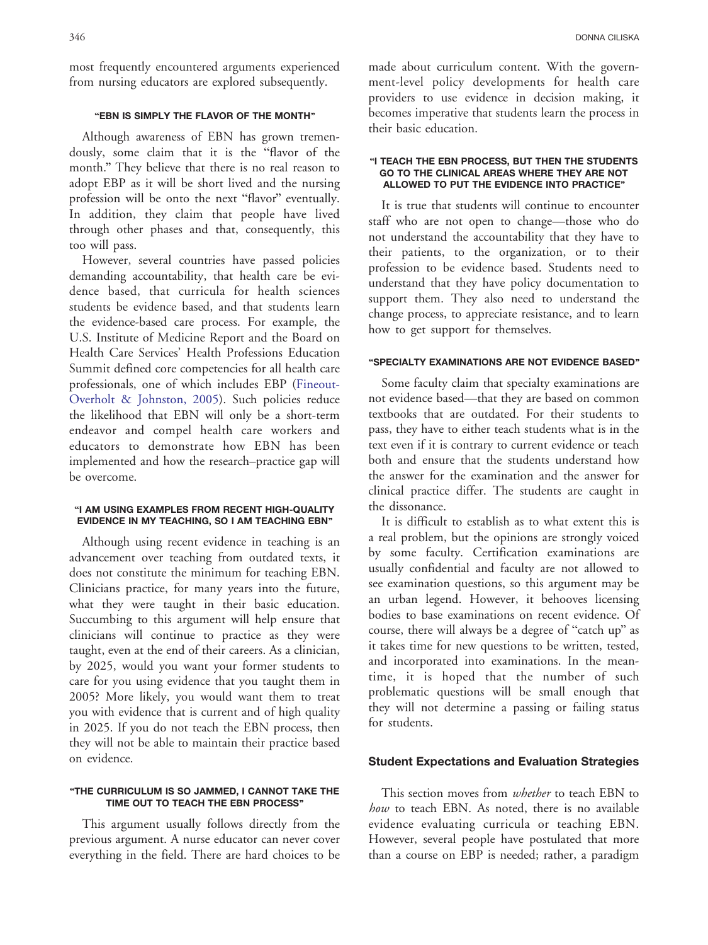most frequently encountered arguments experienced from nursing educators are explored subsequently.

# "EBN IS SIMPLY THE FLAVOR OF THE MONTH"

Although awareness of EBN has grown tremendously, some claim that it is the "flavor of the month." They believe that there is no real reason to adopt EBP as it will be short lived and the nursing profession will be onto the next "flavor" eventually. In addition, they claim that people have lived through other phases and that, consequently, this too will pass.

However, several countries have passed policies demanding accountability, that health care be evidence based, that curricula for health sciences students be evidence based, and that students learn the evidence-based care process. For example, the U.S. Institute of Medicine Report and the Board on Health Care Services' Health Professions Education Summit defined core competencies for all health care professionals, one of which includes EB[P](#page-5-0) [\(Fineout-](#page-5-0)Overholt & Johnston, 2005). Such policies reduce the likelihood that EBN will only be a short-term endeavor and compel health care workers and educators to demonstrate how EBN has been implemented and how the research–practice gap will be overcome.

#### "I AM USING EXAMPLES FROM RECENT HIGH-QUALITY EVIDENCE IN MY TEACHING, SO I AM TEACHING EBN"

Although using recent evidence in teaching is an advancement over teaching from outdated texts, it does not constitute the minimum for teaching EBN. Clinicians practice, for many years into the future, what they were taught in their basic education. Succumbing to this argument will help ensure that clinicians will continue to practice as they were taught, even at the end of their careers. As a clinician, by 2025, would you want your former students to care for you using evidence that you taught them in 2005? More likely, you would want them to treat you with evidence that is current and of high quality in 2025. If you do not teach the EBN process, then they will not be able to maintain their practice based on evidence.

#### "THE CURRICULUM IS SO JAMMED, I CANNOT TAKE THE TIME OUT TO TEACH THE EBN PROCESS"

This argument usually follows directly from the previous argument. A nurse educator can never cover everything in the field. There are hard choices to be made about curriculum content. With the government-level policy developments for health care providers to use evidence in decision making, it becomes imperative that students learn the process in their basic education.

#### "I TEACH THE EBN PROCESS, BUT THEN THE STUDENTS GO TO THE CLINICAL AREAS WHERE THEY ARE NOT ALLOWED TO PUT THE EVIDENCE INTO PRACTICE"

It is true that students will continue to encounter staff who are not open to change—those who do not understand the accountability that they have to their patients, to the organization, or to their profession to be evidence based. Students need to understand that they have policy documentation to support them. They also need to understand the change process, to appreciate resistance, and to learn how to get support for themselves.

# "SPECIALTY EXAMINATIONS ARE NOT EVIDENCE BASED"

Some faculty claim that specialty examinations are not evidence based—that they are based on common textbooks that are outdated. For their students to pass, they have to either teach students what is in the text even if it is contrary to current evidence or teach both and ensure that the students understand how the answer for the examination and the answer for clinical practice differ. The students are caught in the dissonance.

It is difficult to establish as to what extent this is a real problem, but the opinions are strongly voiced by some faculty. Certification examinations are usually confidential and faculty are not allowed to see examination questions, so this argument may be an urban legend. However, it behooves licensing bodies to base examinations on recent evidence. Of course, there will always be a degree of "catch up" as it takes time for new questions to be written, tested, and incorporated into examinations. In the meantime, it is hoped that the number of such problematic questions will be small enough that they will not determine a passing or failing status for students.

### Student Expectations and Evaluation Strategies

This section moves from *whether* to teach EBN to how to teach EBN. As noted, there is no available evidence evaluating curricula or teaching EBN. However, several people have postulated that more than a course on EBP is needed; rather, a paradigm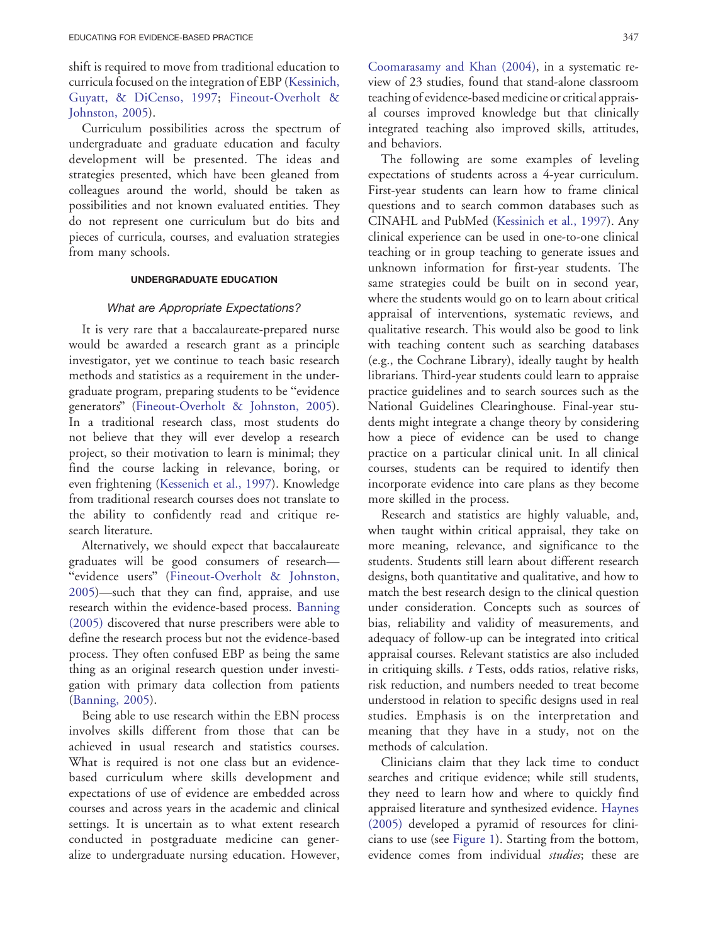shift is required to move from traditional [education to](#page-5-0) curricula focused on the integ[ration of EBP \(Kessinich,](#page-5-0) Guyatt, & DiCenso, 1997; Fineout-Overholt & Johnston, 2005).

Curriculum possibilities across the spectrum of undergraduate and graduate education and faculty development will be presented. The ideas and strategies presented, which have been gleaned from colleagues around the world, should be taken as possibilities and not known evaluated entities. They do not represent one curriculum but do bits and pieces of curricula, courses, and evaluation strategies from many schools.

#### UNDERGRADUATE EDUCATION

#### What are Appropriate Expectations?

It is very rare that a baccalaureate-prepared nurse would be awarded a research grant as a principle investigator, yet we continue to teach basic research methods and statistics as a requirement in the undergraduate program, preparing students to be "evidence generators" [\(Fineout-Overholt](#page-5-0) [&](#page-5-0) [Johnston,](#page-5-0) [200](#page-5-0)5). In a traditional research class, most students do not believe that they will ever develop a research project, so their motivation to learn is minimal; they find the course lacking in relevance, boring, or even frightenin[g](#page-5-0) [\(Kessenich](#page-5-0) [et](#page-5-0) [al.,](#page-5-0) [199](#page-5-0)7). Knowledge from traditional research courses does not translate to the ability to confidently read and critique research literature.

Alternatively, we should expect that baccalaureate graduates will be good consumers of research— "evidence users" [\(Fineout-Overholt](#page-5-0) [&](#page-5-0) [Johnston,](#page-5-0) 2005)—such that they can find, appraise, and use research within the evidence-based process. [Banning](#page-5-0) (2005) discovered that nurse prescribers were able to define the research process but not the evidence-based process. They often confused EBP as being the same thing as an original research question under investigation with primary data collection from patients [\(Banning,](#page-5-0) [200](#page-5-0)5).

Being able to use research within the EBN process involves skills different from those that can be achieved in usual research and statistics courses. What is required is not one class but an evidencebased curriculum where skills development and expectations of use of evidence are embedded across courses and across years in the academic and clinical settings. It is uncertain as to what extent research conducted in postgraduate medicine can generalize to undergraduate nursing education. However, [Coomarasamy](#page-5-0) [and](#page-5-0) [Khan](#page-5-0) [\(2004\),](#page-5-0) in a systematic review of 23 studies, found that stand-alone classroom teaching of evidence-based medicine or critical appraisal courses improved knowledge but that clinically integrated teaching also improved skills, attitudes, and behaviors.

The following are some examples of leveling expectations of students across a 4-year curriculum. First-year students can learn how to frame clinical questions and to search common databases such as CINAHL and PubMed ([Kessinich](#page-5-0) [et](#page-5-0) [al.,](#page-5-0) [1997\).](#page-5-0) Any clinical experience can be used in one-to-one clinical teaching or in group teaching to generate issues and unknown information for first-year students. The same strategies could be built on in second year, where the students would go on to learn about critical appraisal of interventions, systematic reviews, and qualitative research. This would also be good to link with teaching content such as searching databases (e.g., the Cochrane Library), ideally taught by health librarians. Third-year students could learn to appraise practice guidelines and to search sources such as the National Guidelines Clearinghouse. Final-year students might integrate a change theory by considering how a piece of evidence can be used to change practice on a particular clinical unit. In all clinical courses, students can be required to identify then incorporate evidence into care plans as they become more skilled in the process.

Research and statistics are highly valuable, and, when taught within critical appraisal, they take on more meaning, relevance, and significance to the students. Students still learn about different research designs, both quantitative and qualitative, and how to match the best research design to the clinical question under consideration. Concepts such as sources of bias, reliability and validity of measurements, and adequacy of follow-up can be integrated into critical appraisal courses. Relevant statistics are also included in critiquing skills.  $t$  Tests, odds ratios, relative risks, risk reduction, and numbers needed to treat become understood in relation to specific designs used in real studies. Emphasis is on the interpretation and meaning that they have in a study, not on the methods of calculation.

Clinicians claim that they lack time to conduct searches and critique evidence; while still students, they need to learn how and where to quickly find appraised literature and synthesized evidence. [Haynes](#page-5-0) (2005) developed a pyramid of resources for clinicians to use (see [Figure](#page-3-0) [1\)](#page-3-0). Starting from the bottom, evidence comes from individual *studies*; these are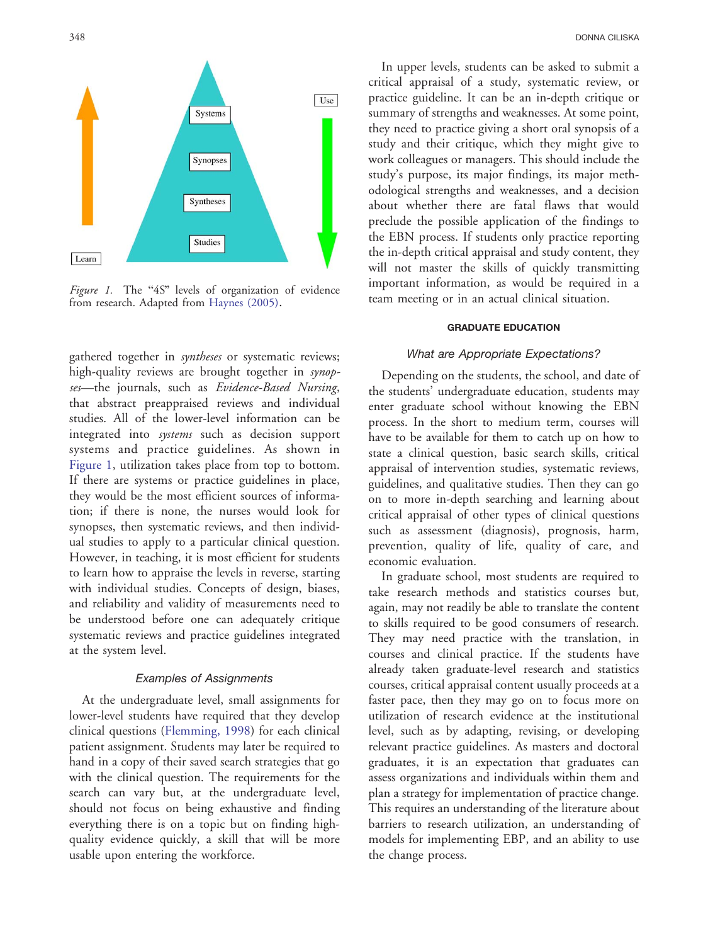<span id="page-3-0"></span>

Figure 1. The "4S" leve[ls of organizat](#page-5-0)ion of evidence from research. Adapted from Haynes (2005).

gathered together in syntheses or systematic reviews; high-quality reviews are brought together in synopses-the journals, such as Evidence-Based Nursing, that abstract preappraised reviews and individual studies. All of the lower-level information can be integrated into systems such as decision support systems and practice guidelines. As shown in Figure 1, utilization takes place from top to bottom. If there are systems or practice guidelines in place, they would be the most efficient sources of information; if there is none, the nurses would look for synopses, then systematic reviews, and then individual studies to apply to a particular clinical question. However, in teaching, it is most efficient for students to learn how to appraise the levels in reverse, starting with individual studies. Concepts of design, biases, and reliability and validity of measurements need to be understood before one can adequately critique systematic reviews and practice guidelines integrated at the system level.

#### Examples of Assignments

At the undergraduate level, small assignments for lower-level students have required that they develop clinical questio[ns](#page-5-0) [\(Flemming,](#page-5-0) [19](#page-5-0)98) for each clinical patient assignment. Students may later be required to hand in a copy of their saved search strategies that go with the clinical question. The requirements for the search can vary but, at the undergraduate level, should not focus on being exhaustive and finding everything there is on a topic but on finding highquality evidence quickly, a skill that will be more usable upon entering the workforce.

In upper levels, students can be asked to submit a critical appraisal of a study, systematic review, or practice guideline. It can be an in-depth critique or summary of strengths and weaknesses. At some point, they need to practice giving a short oral synopsis of a study and their critique, which they might give to work colleagues or managers. This should include the study's purpose, its major findings, its major methodological strengths and weaknesses, and a decision about whether there are fatal flaws that would preclude the possible application of the findings to the EBN process. If students only practice reporting the in-depth critical appraisal and study content, they will not master the skills of quickly transmitting important information, as would be required in a team meeting or in an actual clinical situation.

#### GRADUATE EDUCATION

## What are Appropriate Expectations?

Depending on the students, the school, and date of the students' undergraduate education, students may enter graduate school without knowing the EBN process. In the short to medium term, courses will have to be available for them to catch up on how to state a clinical question, basic search skills, critical appraisal of intervention studies, systematic reviews, guidelines, and qualitative studies. Then they can go on to more in-depth searching and learning about critical appraisal of other types of clinical questions such as assessment (diagnosis), prognosis, harm, prevention, quality of life, quality of care, and economic evaluation.

In graduate school, most students are required to take research methods and statistics courses but, again, may not readily be able to translate the content to skills required to be good consumers of research. They may need practice with the translation, in courses and clinical practice. If the students have already taken graduate-level research and statistics courses, critical appraisal content usually proceeds at a faster pace, then they may go on to focus more on utilization of research evidence at the institutional level, such as by adapting, revising, or developing relevant practice guidelines. As masters and doctoral graduates, it is an expectation that graduates can assess organizations and individuals within them and plan a strategy for implementation of practice change. This requires an understanding of the literature about barriers to research utilization, an understanding of models for implementing EBP, and an ability to use the change process.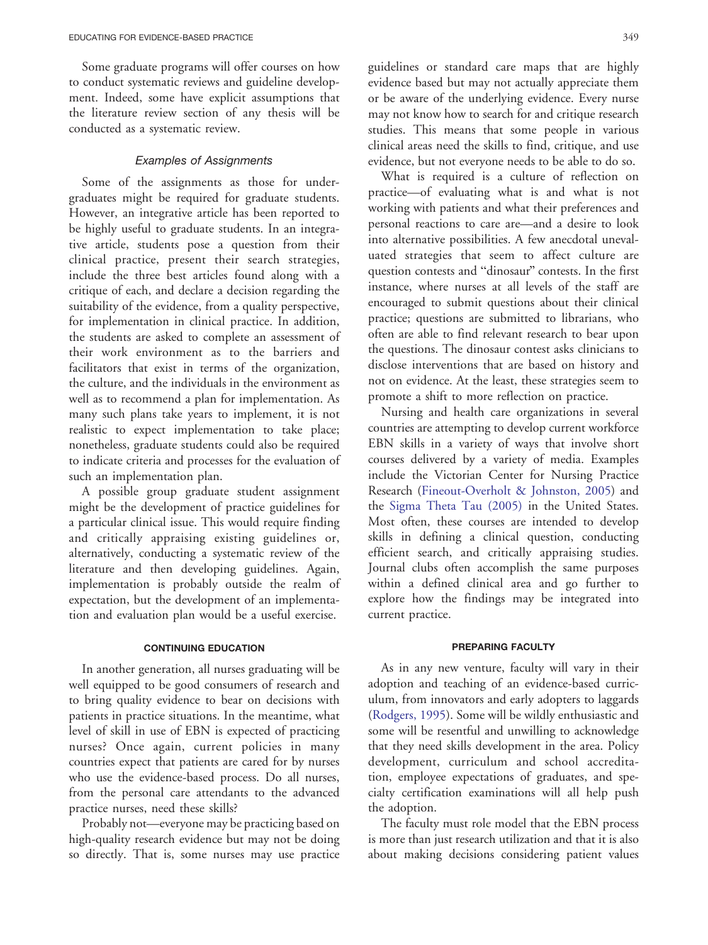Some graduate programs will offer courses on how to conduct systematic reviews and guideline development. Indeed, some have explicit assumptions that the literature review section of any thesis will be conducted as a systematic review.

#### Examples of Assignments

Some of the assignments as those for undergraduates might be required for graduate students. However, an integrative article has been reported to be highly useful to graduate students. In an integrative article, students pose a question from their clinical practice, present their search strategies, include the three best articles found along with a critique of each, and declare a decision regarding the suitability of the evidence, from a quality perspective, for implementation in clinical practice. In addition, the students are asked to complete an assessment of their work environment as to the barriers and facilitators that exist in terms of the organization, the culture, and the individuals in the environment as well as to recommend a plan for implementation. As many such plans take years to implement, it is not realistic to expect implementation to take place; nonetheless, graduate students could also be required to indicate criteria and processes for the evaluation of such an implementation plan.

A possible group graduate student assignment might be the development of practice guidelines for a particular clinical issue. This would require finding and critically appraising existing guidelines or, alternatively, conducting a systematic review of the literature and then developing guidelines. Again, implementation is probably outside the realm of expectation, but the development of an implementation and evaluation plan would be a useful exercise.

#### CONTINUING EDUCATION

In another generation, all nurses graduating will be well equipped to be good consumers of research and to bring quality evidence to bear on decisions with patients in practice situations. In the meantime, what level of skill in use of EBN is expected of practicing nurses? Once again, current policies in many countries expect that patients are cared for by nurses who use the evidence-based process. Do all nurses, from the personal care attendants to the advanced practice nurses, need these skills?

Probably not—everyone may be practicing based on high-quality research evidence but may not be doing so directly. That is, some nurses may use practice

guidelines or standard care maps that are highly evidence based but may not actually appreciate them or be aware of the underlying evidence. Every nurse may not know how to search for and critique research studies. This means that some people in various clinical areas need the skills to find, critique, and use evidence, but not everyone needs to be able to do so.

What is required is a culture of reflection on practice—of evaluating what is and what is not working with patients and what their preferences and personal reactions to care are—and a desire to look into alternative possibilities. A few anecdotal unevaluated strategies that seem to affect culture are question contests and "dinosaur" contests. In the first instance, where nurses at all levels of the staff are encouraged to submit questions about their clinical practice; questions are submitted to librarians, who often are able to find relevant research to bear upon the questions. The dinosaur contest asks clinicians to disclose interventions that are based on history and not on evidence. At the least, these strategies seem to promote a shift to more reflection on practice.

Nursing and health care organizations in several countries are attempting to develop current workforce EBN skills in a variety of ways that involve short courses delivered by a variety of media. Examples include the Victorian Center for Nursing Practice Research ([Fineout-Overholt](#page-5-0) [&](#page-5-0) [Johnston,](#page-5-0) [2005\)](#page-5-0) and the [Sigma](#page-5-0) [Theta](#page-5-0) [Tau](#page-5-0) [\(2005\)](#page-5-0) in the United States. Most often, these courses are intended to develop skills in defining a clinical question, conducting efficient search, and critically appraising studies. Journal clubs often accomplish the same purposes within a defined clinical area and go further to explore how the findings may be integrated into current practice.

#### PREPARING FACULTY

As in any new venture, faculty will vary in their adoption and teaching of an evidence-based curriculum, from innovators and early adopters to laggards ([Rodgers,](#page-5-0) [1995\).](#page-5-0) Some will be wildly enthusiastic and some will be resentful and unwilling to acknowledge that they need skills development in the area. Policy development, curriculum and school accreditation, employee expectations of graduates, and specialty certification examinations will all help push the adoption.

The faculty must role model that the EBN process is more than just research utilization and that it is also about making decisions considering patient values